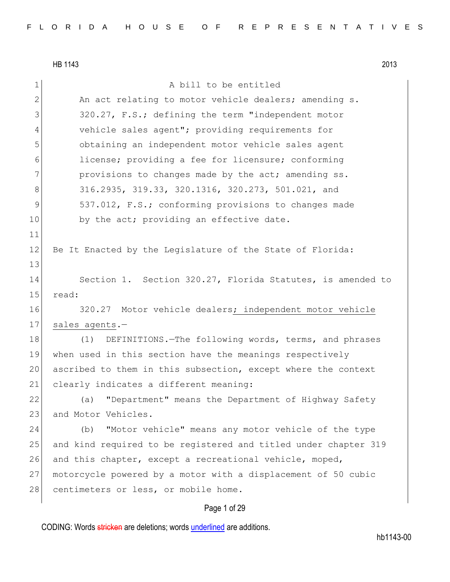HB 1143 2013 1 a bill to be entitled 2 An act relating to motor vehicle dealers; amending s. 3 320.27, F.S.; defining the term "independent motor 4 vehicle sales agent"; providing requirements for 5 obtaining an independent motor vehicle sales agent 6 license; providing a fee for licensure; conforming 7 **provisions to changes made by the act; amending ss.** 8 316.2935, 319.33, 320.1316, 320.273, 501.021, and 9 537.012, F.S.; conforming provisions to changes made 10 by the act; providing an effective date. 11 12 Be It Enacted by the Legislature of the State of Florida: 13 14 Section 1. Section 320.27, Florida Statutes, is amended to 15 read: 16 320.27 Motor vehicle dealers; independent motor vehicle 17 sales agents.-18 (1) DEFINITIONS. The following words, terms, and phrases 19 when used in this section have the meanings respectively 20 ascribed to them in this subsection, except where the context 21 clearly indicates a different meaning: 22 (a) "Department" means the Department of Highway Safety 23 and Motor Vehicles. 24 (b) "Motor vehicle" means any motor vehicle of the type 25 and kind required to be registered and titled under chapter 319 26 and this chapter, except a recreational vehicle, moped, 27 motorcycle powered by a motor with a displacement of 50 cubic 28 centimeters or less, or mobile home.

# Page 1 of 29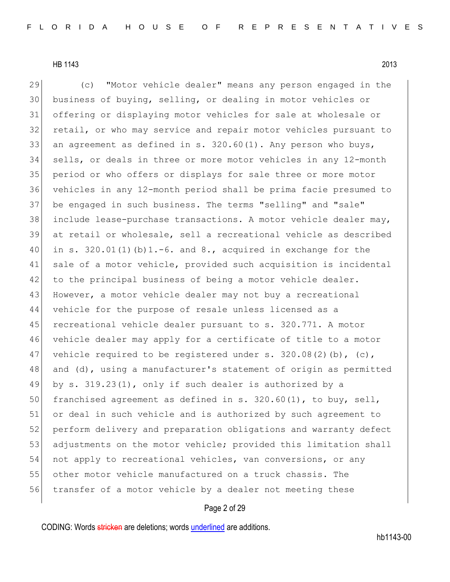29 (c) "Motor vehicle dealer" means any person engaged in the business of buying, selling, or dealing in motor vehicles or offering or displaying motor vehicles for sale at wholesale or retail, or who may service and repair motor vehicles pursuant to 33 an agreement as defined in s.  $320.60(1)$ . Any person who buys, sells, or deals in three or more motor vehicles in any 12-month period or who offers or displays for sale three or more motor vehicles in any 12-month period shall be prima facie presumed to be engaged in such business. The terms "selling" and "sale" include lease-purchase transactions. A motor vehicle dealer may, at retail or wholesale, sell a recreational vehicle as described 40 in s.  $320.01(1)(b)1.-6$ . and 8., acquired in exchange for the sale of a motor vehicle, provided such acquisition is incidental 42 to the principal business of being a motor vehicle dealer. 43 However, a motor vehicle dealer may not buy a recreational vehicle for the purpose of resale unless licensed as a 45 recreational vehicle dealer pursuant to s. 320.771. A motor vehicle dealer may apply for a certificate of title to a motor 47 vehicle required to be registered under s.  $320.08(2)$  (b), (c), 48 and (d), using a manufacturer's statement of origin as permitted by s. 319.23(1), only if such dealer is authorized by a 50 franchised agreement as defined in s.  $320.60(1)$ , to buy, sell, or deal in such vehicle and is authorized by such agreement to perform delivery and preparation obligations and warranty defect 53 adjustments on the motor vehicle; provided this limitation shall 54 not apply to recreational vehicles, van conversions, or any other motor vehicle manufactured on a truck chassis. The transfer of a motor vehicle by a dealer not meeting these

# Page 2 of 29

CODING: Words stricken are deletions; words underlined are additions.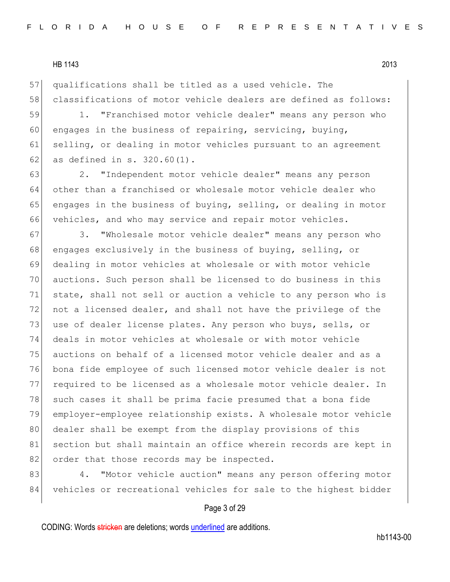57 qualifications shall be titled as a used vehicle. The 58 classifications of motor vehicle dealers are defined as follows:

59 1. "Franchised motor vehicle dealer" means any person who 60 engages in the business of repairing, servicing, buying, 61 selling, or dealing in motor vehicles pursuant to an agreement 62 as defined in s.  $320.60(1)$ .

 2. "Independent motor vehicle dealer" means any person other than a franchised or wholesale motor vehicle dealer who engages in the business of buying, selling, or dealing in motor vehicles, and who may service and repair motor vehicles.

67 3. "Wholesale motor vehicle dealer" means any person who 68 engages exclusively in the business of buying, selling, or 69 dealing in motor vehicles at wholesale or with motor vehicle 70 auctions. Such person shall be licensed to do business in this 71 state, shall not sell or auction a vehicle to any person who is 72 not a licensed dealer, and shall not have the privilege of the 73 use of dealer license plates. Any person who buys, sells, or 74 deals in motor vehicles at wholesale or with motor vehicle 75 auctions on behalf of a licensed motor vehicle dealer and as a 76 bona fide employee of such licensed motor vehicle dealer is not 77 required to be licensed as a wholesale motor vehicle dealer. In 78 such cases it shall be prima facie presumed that a bona fide 79 employer-employee relationship exists. A wholesale motor vehicle 80 dealer shall be exempt from the display provisions of this 81 section but shall maintain an office wherein records are kept in 82 order that those records may be inspected.

83 4. "Motor vehicle auction" means any person offering motor 84 vehicles or recreational vehicles for sale to the highest bidder

### Page 3 of 29

CODING: Words stricken are deletions; words underlined are additions.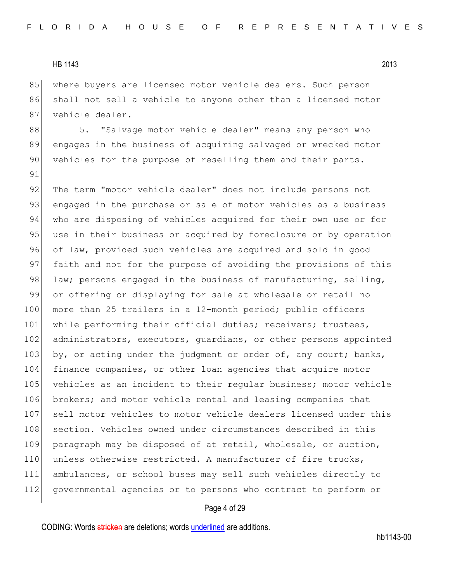91

85 where buyers are licensed motor vehicle dealers. Such person 86 shall not sell a vehicle to anyone other than a licensed motor 87 vehicle dealer.

88 5. "Salvage motor vehicle dealer" means any person who 89 engages in the business of acquiring salvaged or wrecked motor 90 vehicles for the purpose of reselling them and their parts.

92 The term "motor vehicle dealer" does not include persons not 93 engaged in the purchase or sale of motor vehicles as a business 94 who are disposing of vehicles acquired for their own use or for 95 use in their business or acquired by foreclosure or by operation 96 of law, provided such vehicles are acquired and sold in good 97 faith and not for the purpose of avoiding the provisions of this 98 law; persons engaged in the business of manufacturing, selling, 99 or offering or displaying for sale at wholesale or retail no 100 more than 25 trailers in a 12-month period; public officers 101 while performing their official duties; receivers; trustees, 102 administrators, executors, guardians, or other persons appointed 103 by, or acting under the judgment or order of, any court; banks, 104 finance companies, or other loan agencies that acquire motor 105 vehicles as an incident to their reqular business; motor vehicle 106 brokers; and motor vehicle rental and leasing companies that 107 sell motor vehicles to motor vehicle dealers licensed under this 108 section. Vehicles owned under circumstances described in this 109 paragraph may be disposed of at retail, wholesale, or auction, 110 unless otherwise restricted. A manufacturer of fire trucks, 111 ambulances, or school buses may sell such vehicles directly to 112 governmental agencies or to persons who contract to perform or

## Page 4 of 29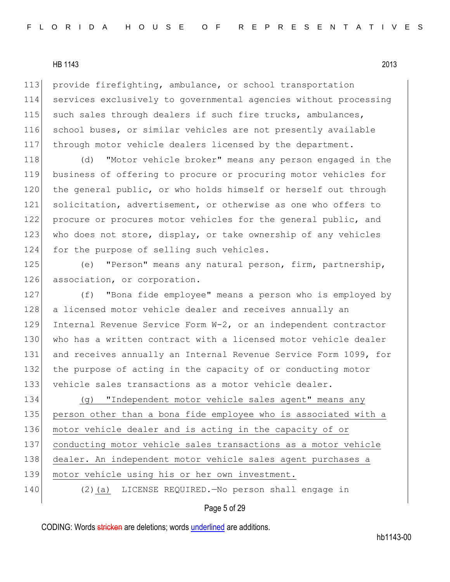113 provide firefighting, ambulance, or school transportation 114 services exclusively to governmental agencies without processing 115 such sales through dealers if such fire trucks, ambulances, 116 school buses, or similar vehicles are not presently available 117 through motor vehicle dealers licensed by the department.

118 (d) "Motor vehicle broker" means any person engaged in the 119 business of offering to procure or procuring motor vehicles for 120 the general public, or who holds himself or herself out through 121 solicitation, advertisement, or otherwise as one who offers to 122 procure or procures motor vehicles for the general public, and 123 who does not store, display, or take ownership of any vehicles 124 for the purpose of selling such vehicles.

125 (e) "Person" means any natural person, firm, partnership, 126 association, or corporation.

127 (f) "Bona fide employee" means a person who is employed by 128 a licensed motor vehicle dealer and receives annually an 129 Internal Revenue Service Form W-2, or an independent contractor 130 who has a written contract with a licensed motor vehicle dealer 131 and receives annually an Internal Revenue Service Form 1099, for 132 the purpose of acting in the capacity of or conducting motor 133 vehicle sales transactions as a motor vehicle dealer.

 (g) "Independent motor vehicle sales agent" means any person other than a bona fide employee who is associated with a motor vehicle dealer and is acting in the capacity of or conducting motor vehicle sales transactions as a motor vehicle dealer. An independent motor vehicle sales agent purchases a 139 motor vehicle using his or her own investment. 140 (2) (a) LICENSE REQUIRED. No person shall engage in

# Page 5 of 29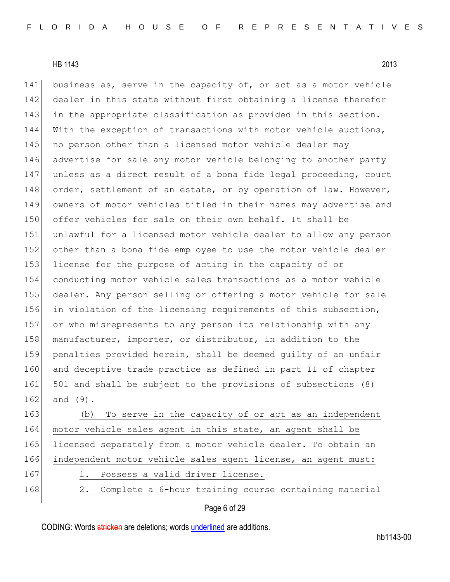141 business as, serve in the capacity of, or act as a motor vehicle 142 dealer in this state without first obtaining a license therefor 143 in the appropriate classification as provided in this section. 144 With the exception of transactions with motor vehicle auctions, 145 | no person other than a licensed motor vehicle dealer may 146 advertise for sale any motor vehicle belonging to another party 147 unless as a direct result of a bona fide legal proceeding, court 148 order, settlement of an estate, or by operation of law. However, 149 owners of motor vehicles titled in their names may advertise and 150 offer vehicles for sale on their own behalf. It shall be 151 unlawful for a licensed motor vehicle dealer to allow any person 152 other than a bona fide employee to use the motor vehicle dealer 153 license for the purpose of acting in the capacity of or 154 conducting motor vehicle sales transactions as a motor vehicle 155 dealer. Any person selling or offering a motor vehicle for sale 156 in violation of the licensing requirements of this subsection, 157 or who misrepresents to any person its relationship with any 158 manufacturer, importer, or distributor, in addition to the 159 penalties provided herein, shall be deemed guilty of an unfair 160 and deceptive trade practice as defined in part II of chapter 161 501 and shall be subject to the provisions of subsections (8)  $162$  and  $(9)$ .

163 (b) To serve in the capacity of or act as an independent 164 motor vehicle sales agent in this state, an agent shall be 165 licensed separately from a motor vehicle dealer. To obtain an 166 independent motor vehicle sales agent license, an agent must: 167 1. Possess a valid driver license. 168 2. Complete a 6-hour training course containing material

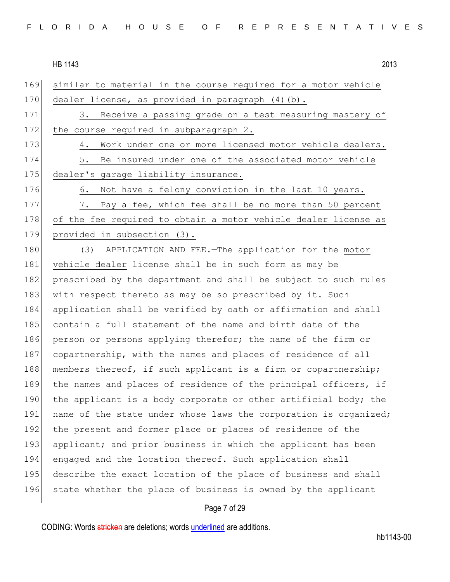| 169 | similar to material in the course required for a motor vehicle   |
|-----|------------------------------------------------------------------|
| 170 | dealer license, as provided in paragraph (4)(b).                 |
| 171 | 3. Receive a passing grade on a test measuring mastery of        |
| 172 | the course required in subparagraph 2.                           |
| 173 | Work under one or more licensed motor vehicle dealers.<br>4.     |
| 174 | Be insured under one of the associated motor vehicle<br>5.       |
| 175 | dealer's garage liability insurance.                             |
| 176 | Not have a felony conviction in the last 10 years.<br>6.         |
| 177 | Pay a fee, which fee shall be no more than 50 percent<br>7.      |
| 178 | of the fee required to obtain a motor vehicle dealer license as  |
| 179 | provided in subsection (3).                                      |
| 180 | APPLICATION AND FEE.-The application for the motor<br>(3)        |
| 181 | vehicle dealer license shall be in such form as may be           |
| 182 | prescribed by the department and shall be subject to such rules  |
| 183 | with respect thereto as may be so prescribed by it. Such         |
| 184 | application shall be verified by oath or affirmation and shall   |
| 185 | contain a full statement of the name and birth date of the       |
| 186 | person or persons applying therefor; the name of the firm or     |
| 187 | copartnership, with the names and places of residence of all     |
| 188 | members thereof, if such applicant is a firm or copartnership;   |
| 189 | the names and places of residence of the principal officers, if  |
| 190 | the applicant is a body corporate or other artificial body; the  |
| 191 | name of the state under whose laws the corporation is organized; |
| 192 | the present and former place or places of residence of the       |
| 193 | applicant; and prior business in which the applicant has been    |
| 194 | engaged and the location thereof. Such application shall         |
| 195 | describe the exact location of the place of business and shall   |
| 196 | state whether the place of business is owned by the applicant    |
|     |                                                                  |

# Page 7 of 29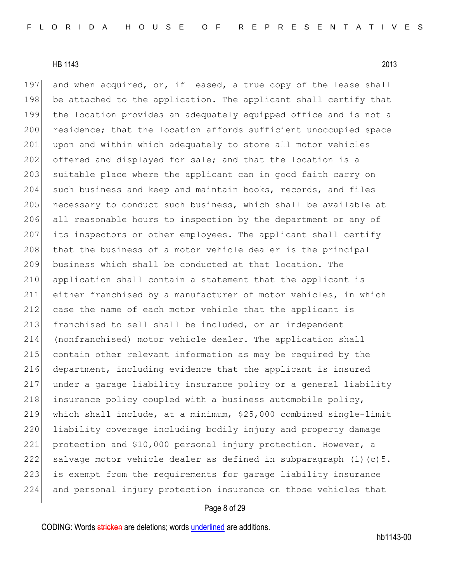197 and when acquired, or, if leased, a true copy of the lease shall 198 be attached to the application. The applicant shall certify that 199 the location provides an adequately equipped office and is not a 200 residence; that the location affords sufficient unoccupied space 201 upon and within which adequately to store all motor vehicles 202 offered and displayed for sale; and that the location is a 203 suitable place where the applicant can in good faith carry on 204 such business and keep and maintain books, records, and files 205 necessary to conduct such business, which shall be available at 206 all reasonable hours to inspection by the department or any of 207 its inspectors or other employees. The applicant shall certify 208 that the business of a motor vehicle dealer is the principal 209 business which shall be conducted at that location. The 210 application shall contain a statement that the applicant is 211 either franchised by a manufacturer of motor vehicles, in which 212 case the name of each motor vehicle that the applicant is 213 franchised to sell shall be included, or an independent 214 (nonfranchised) motor vehicle dealer. The application shall 215 contain other relevant information as may be required by the 216 department, including evidence that the applicant is insured 217 under a garage liability insurance policy or a general liability 218 insurance policy coupled with a business automobile policy, 219 which shall include, at a minimum, \$25,000 combined single-limit 220 liability coverage including bodily injury and property damage 221 protection and \$10,000 personal injury protection. However, a 222 salvage motor vehicle dealer as defined in subparagraph  $(1)(c)$ 5. 223 is exempt from the requirements for garage liability insurance 224 and personal injury protection insurance on those vehicles that

# Page 8 of 29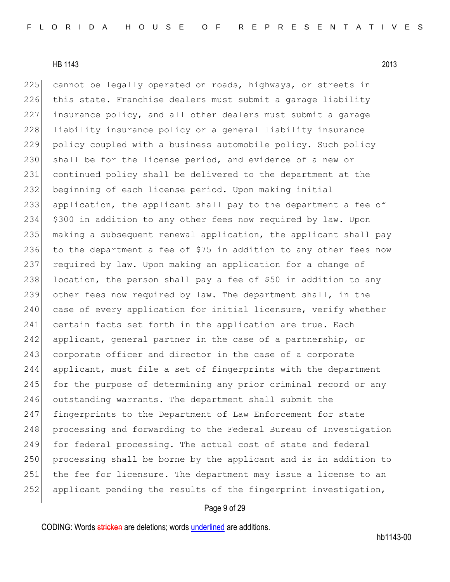225 cannot be legally operated on roads, highways, or streets in 226 this state. Franchise dealers must submit a garage liability 227 insurance policy, and all other dealers must submit a garage 228 liability insurance policy or a general liability insurance 229 policy coupled with a business automobile policy. Such policy 230 shall be for the license period, and evidence of a new or 231 continued policy shall be delivered to the department at the 232 beginning of each license period. Upon making initial 233 application, the applicant shall pay to the department a fee of 234 \$300 in addition to any other fees now required by law. Upon 235 making a subsequent renewal application, the applicant shall pay 236 to the department a fee of \$75 in addition to any other fees now 237 required by law. Upon making an application for a change of 238 location, the person shall pay a fee of \$50 in addition to any 239 other fees now required by law. The department shall, in the 240 case of every application for initial licensure, verify whether 241 certain facts set forth in the application are true. Each 242 applicant, general partner in the case of a partnership, or 243 corporate officer and director in the case of a corporate 244 applicant, must file a set of fingerprints with the department 245 for the purpose of determining any prior criminal record or any 246 outstanding warrants. The department shall submit the 247 fingerprints to the Department of Law Enforcement for state 248 processing and forwarding to the Federal Bureau of Investigation 249 for federal processing. The actual cost of state and federal 250 processing shall be borne by the applicant and is in addition to 251 the fee for licensure. The department may issue a license to an 252 applicant pending the results of the fingerprint investigation,

## Page 9 of 29

CODING: Words stricken are deletions; words underlined are additions.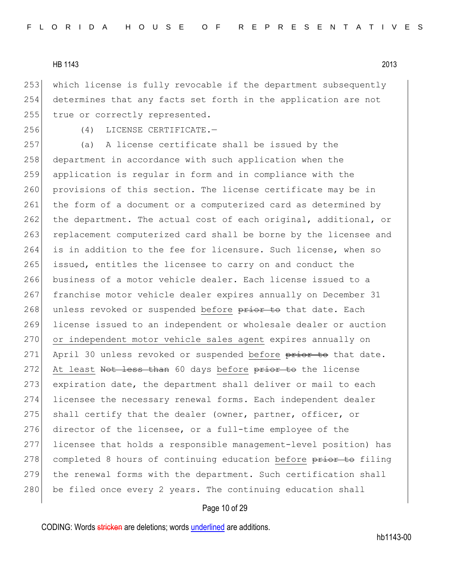253 which license is fully revocable if the department subsequently 254 determines that any facts set forth in the application are not 255 true or correctly represented.

256 (4) LICENSE CERTIFICATE.—

257 (a) A license certificate shall be issued by the 258 department in accordance with such application when the 259 application is regular in form and in compliance with the 260 provisions of this section. The license certificate may be in 261 the form of a document or a computerized card as determined by 262 the department. The actual cost of each original, additional, or 263 replacement computerized card shall be borne by the licensee and 264 is in addition to the fee for licensure. Such license, when so 265 issued, entitles the licensee to carry on and conduct the 266 business of a motor vehicle dealer. Each license issued to a 267 franchise motor vehicle dealer expires annually on December 31 268 unless revoked or suspended before prior to that date. Each 269 license issued to an independent or wholesale dealer or auction 270 or independent motor vehicle sales agent expires annually on 271 April 30 unless revoked or suspended before prior to that date. 272 At least Not less than 60 days before prior to the license 273 expiration date, the department shall deliver or mail to each 274 licensee the necessary renewal forms. Each independent dealer 275 shall certify that the dealer (owner, partner, officer, or 276 director of the licensee, or a full-time employee of the 277 licensee that holds a responsible management-level position) has 278 completed 8 hours of continuing education before prior to filing 279 the renewal forms with the department. Such certification shall  $280$  be filed once every 2 years. The continuing education shall

# Page 10 of 29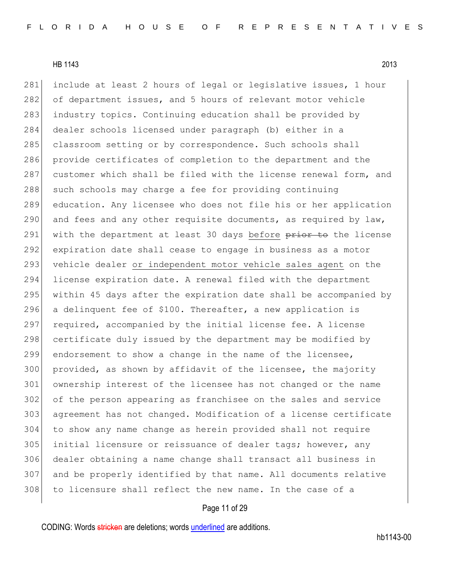281 include at least 2 hours of legal or legislative issues, 1 hour 282 of department issues, and 5 hours of relevant motor vehicle industry topics. Continuing education shall be provided by dealer schools licensed under paragraph (b) either in a 285 classroom setting or by correspondence. Such schools shall provide certificates of completion to the department and the 287 customer which shall be filed with the license renewal form, and 288 such schools may charge a fee for providing continuing education. Any licensee who does not file his or her application 290 and fees and any other requisite documents, as required by  $law$ , 291 with the department at least 30 days before prior to the license expiration date shall cease to engage in business as a motor 293 vehicle dealer or independent motor vehicle sales agent on the license expiration date. A renewal filed with the department within 45 days after the expiration date shall be accompanied by 296 a delinquent fee of \$100. Thereafter, a new application is required, accompanied by the initial license fee. A license 298 certificate duly issued by the department may be modified by endorsement to show a change in the name of the licensee, provided, as shown by affidavit of the licensee, the majority ownership interest of the licensee has not changed or the name of the person appearing as franchisee on the sales and service agreement has not changed. Modification of a license certificate to show any name change as herein provided shall not require initial licensure or reissuance of dealer tags; however, any dealer obtaining a name change shall transact all business in and be properly identified by that name. All documents relative 308 to licensure shall reflect the new name. In the case of a

# Page 11 of 29

CODING: Words stricken are deletions; words underlined are additions.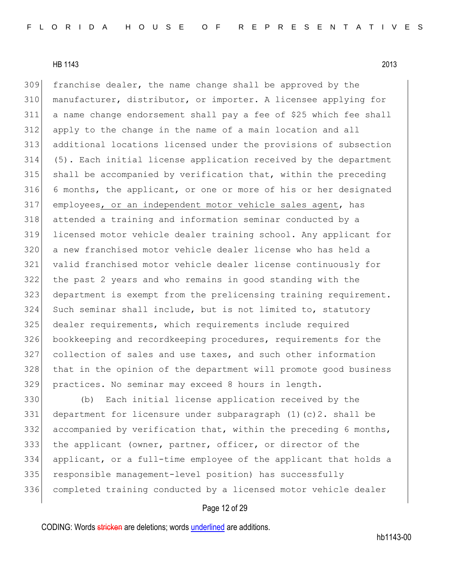309 franchise dealer, the name change shall be approved by the 310 manufacturer, distributor, or importer. A licensee applying for a name change endorsement shall pay a fee of \$25 which fee shall apply to the change in the name of a main location and all additional locations licensed under the provisions of subsection (5). Each initial license application received by the department shall be accompanied by verification that, within the preceding 6 months, the applicant, or one or more of his or her designated employees, or an independent motor vehicle sales agent, has attended a training and information seminar conducted by a licensed motor vehicle dealer training school. Any applicant for a new franchised motor vehicle dealer license who has held a valid franchised motor vehicle dealer license continuously for the past 2 years and who remains in good standing with the department is exempt from the prelicensing training requirement. Such seminar shall include, but is not limited to, statutory 325 dealer requirements, which requirements include required bookkeeping and recordkeeping procedures, requirements for the collection of sales and use taxes, and such other information that in the opinion of the department will promote good business practices. No seminar may exceed 8 hours in length.

 (b) Each initial license application received by the 331 department for licensure under subparagraph  $(1)(c)$  c). shall be 332 accompanied by verification that, within the preceding 6 months, the applicant (owner, partner, officer, or director of the applicant, or a full-time employee of the applicant that holds a 335 responsible management-level position) has successfully completed training conducted by a licensed motor vehicle dealer

# Page 12 of 29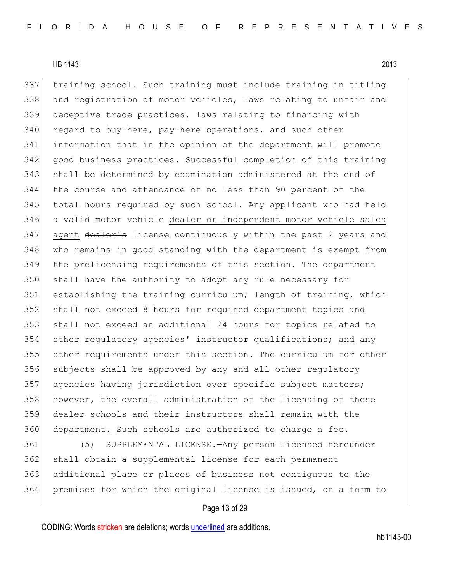training school. Such training must include training in titling 338 and registration of motor vehicles, laws relating to unfair and deceptive trade practices, laws relating to financing with 340 regard to buy-here, pay-here operations, and such other information that in the opinion of the department will promote good business practices. Successful completion of this training shall be determined by examination administered at the end of the course and attendance of no less than 90 percent of the total hours required by such school. Any applicant who had held a valid motor vehicle dealer or independent motor vehicle sales 347 agent dealer's license continuously within the past 2 years and 348 who remains in good standing with the department is exempt from the prelicensing requirements of this section. The department 350 shall have the authority to adopt any rule necessary for establishing the training curriculum; length of training, which shall not exceed 8 hours for required department topics and shall not exceed an additional 24 hours for topics related to 354 other regulatory agencies' instructor qualifications; and any other requirements under this section. The curriculum for other 356 subjects shall be approved by any and all other regulatory agencies having jurisdiction over specific subject matters; 358 however, the overall administration of the licensing of these dealer schools and their instructors shall remain with the 360 department. Such schools are authorized to charge a fee.

 (5) SUPPLEMENTAL LICENSE.—Any person licensed hereunder shall obtain a supplemental license for each permanent additional place or places of business not contiguous to the premises for which the original license is issued, on a form to

# Page 13 of 29

CODING: Words stricken are deletions; words underlined are additions.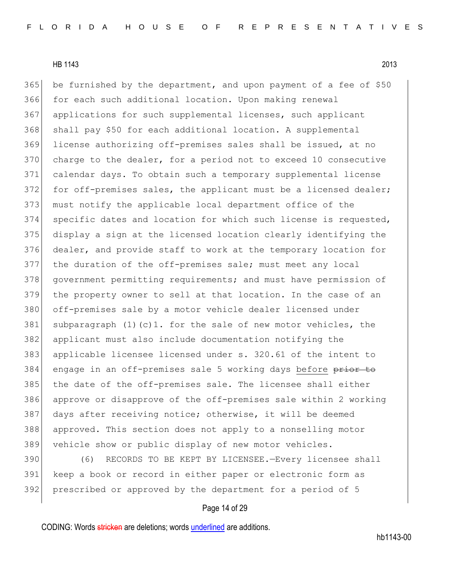$365$  be furnished by the department, and upon payment of a fee of \$50 366 for each such additional location. Upon making renewal 367 applications for such supplemental licenses, such applicant 368 shall pay \$50 for each additional location. A supplemental 369 license authorizing off-premises sales shall be issued, at no 370 charge to the dealer, for a period not to exceed 10 consecutive 371 calendar days. To obtain such a temporary supplemental license 372 for off-premises sales, the applicant must be a licensed dealer; 373 must notify the applicable local department office of the 374 specific dates and location for which such license is requested, 375 display a sign at the licensed location clearly identifying the 376 dealer, and provide staff to work at the temporary location for 377 the duration of the off-premises sale; must meet any local 378 government permitting requirements; and must have permission of 379 the property owner to sell at that location. In the case of an 380 off-premises sale by a motor vehicle dealer licensed under 381 subparagraph  $(1)(c)$ 1. for the sale of new motor vehicles, the 382 applicant must also include documentation notifying the 383 applicable licensee licensed under s. 320.61 of the intent to 384 engage in an off-premises sale 5 working days before prior to 385 the date of the off-premises sale. The licensee shall either 386 approve or disapprove of the off-premises sale within 2 working 387 days after receiving notice; otherwise, it will be deemed 388 approved. This section does not apply to a nonselling motor 389 vehicle show or public display of new motor vehicles.

390 (6) RECORDS TO BE KEPT BY LICENSEE.—Every licensee shall 391 keep a book or record in either paper or electronic form as 392 prescribed or approved by the department for a period of 5

# Page 14 of 29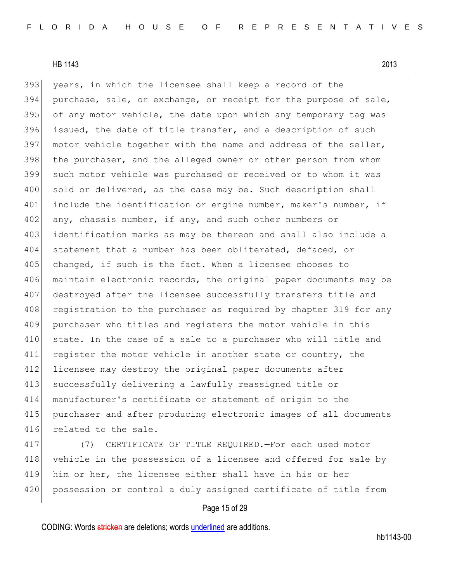393 years, in which the licensee shall keep a record of the 394 purchase, sale, or exchange, or receipt for the purpose of sale, 395 of any motor vehicle, the date upon which any temporary tag was 396 issued, the date of title transfer, and a description of such 397 motor vehicle together with the name and address of the seller, 398 the purchaser, and the alleged owner or other person from whom 399 such motor vehicle was purchased or received or to whom it was 400 sold or delivered, as the case may be. Such description shall 401 include the identification or engine number, maker's number, if 402 any, chassis number, if any, and such other numbers or 403 identification marks as may be thereon and shall also include a 404 statement that a number has been obliterated, defaced, or 405 changed, if such is the fact. When a licensee chooses to 406 maintain electronic records, the original paper documents may be 407 destroyed after the licensee successfully transfers title and 408 registration to the purchaser as required by chapter 319 for any 409 purchaser who titles and registers the motor vehicle in this 410 state. In the case of a sale to a purchaser who will title and 411 register the motor vehicle in another state or country, the 412 licensee may destroy the original paper documents after 413 successfully delivering a lawfully reassigned title or 414 manufacturer's certificate or statement of origin to the 415 purchaser and after producing electronic images of all documents 416 related to the sale.

417 (7) CERTIFICATE OF TITLE REQUIRED.—For each used motor 418 vehicle in the possession of a licensee and offered for sale by 419 him or her, the licensee either shall have in his or her 420 possession or control a duly assigned certificate of title from

## Page 15 of 29

CODING: Words stricken are deletions; words underlined are additions.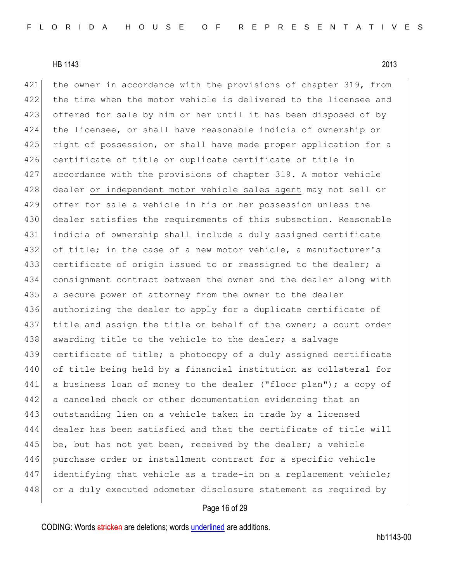421 the owner in accordance with the provisions of chapter 319, from 422 the time when the motor vehicle is delivered to the licensee and 423 offered for sale by him or her until it has been disposed of by 424 the licensee, or shall have reasonable indicia of ownership or 425 right of possession, or shall have made proper application for a 426 certificate of title or duplicate certificate of title in 427 accordance with the provisions of chapter 319. A motor vehicle 428 dealer or independent motor vehicle sales agent may not sell or 429 offer for sale a vehicle in his or her possession unless the 430 dealer satisfies the requirements of this subsection. Reasonable 431 indicia of ownership shall include a duly assigned certificate 432 of title; in the case of a new motor vehicle, a manufacturer's 433 certificate of origin issued to or reassigned to the dealer; a 434 consignment contract between the owner and the dealer along with 435 a secure power of attorney from the owner to the dealer 436 authorizing the dealer to apply for a duplicate certificate of 437 title and assign the title on behalf of the owner; a court order 438 awarding title to the vehicle to the dealer; a salvage 439 certificate of title; a photocopy of a duly assigned certificate 440 of title being held by a financial institution as collateral for 441 a business loan of money to the dealer ("floor plan"); a copy of 442 a canceled check or other documentation evidencing that an 443 outstanding lien on a vehicle taken in trade by a licensed 444 dealer has been satisfied and that the certificate of title will 445 be, but has not yet been, received by the dealer; a vehicle 446 purchase order or installment contract for a specific vehicle 447 identifying that vehicle as a trade-in on a replacement vehicle; 448 or a duly executed odometer disclosure statement as required by

# Page 16 of 29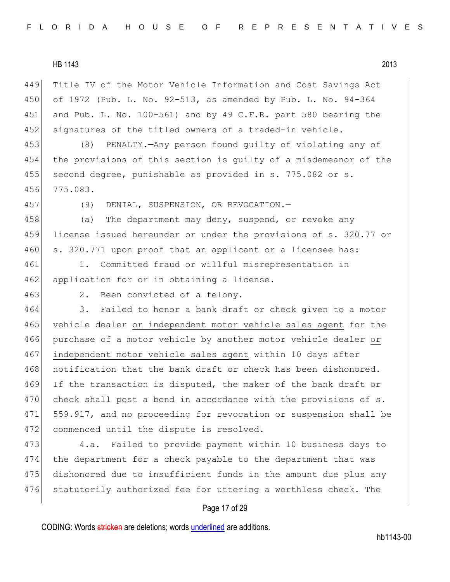Title IV of the Motor Vehicle Information and Cost Savings Act of 1972 (Pub. L. No. 92-513, as amended by Pub. L. No. 94-364 and Pub. L. No. 100-561) and by 49 C.F.R. part 580 bearing the 452 signatures of the titled owners of a traded-in vehicle.

453 (8) PENALTY.—Any person found guilty of violating any of 454 the provisions of this section is guilty of a misdemeanor of the 455 | second degree, punishable as provided in s. 775.082 or s. 456 775.083.

457 (9) DENIAL, SUSPENSION, OR REVOCATION.—

458 (a) The department may deny, suspend, or revoke any 459 license issued hereunder or under the provisions of s. 320.77 or 460 s. 320.771 upon proof that an applicant or a licensee has:

461 1. Committed fraud or willful misrepresentation in 462 application for or in obtaining a license.

463 2. Been convicted of a felony.

464 3. Failed to honor a bank draft or check given to a motor 465 vehicle dealer or independent motor vehicle sales agent for the 466 purchase of a motor vehicle by another motor vehicle dealer or 467 independent motor vehicle sales agent within 10 days after 468 notification that the bank draft or check has been dishonored. 469 If the transaction is disputed, the maker of the bank draft or 470 check shall post a bond in accordance with the provisions of s. 471 559.917, and no proceeding for revocation or suspension shall be 472 commenced until the dispute is resolved.

 4.a. Failed to provide payment within 10 business days to the department for a check payable to the department that was dishonored due to insufficient funds in the amount due plus any 476 statutorily authorized fee for uttering a worthless check. The

## Page 17 of 29

CODING: Words stricken are deletions; words underlined are additions.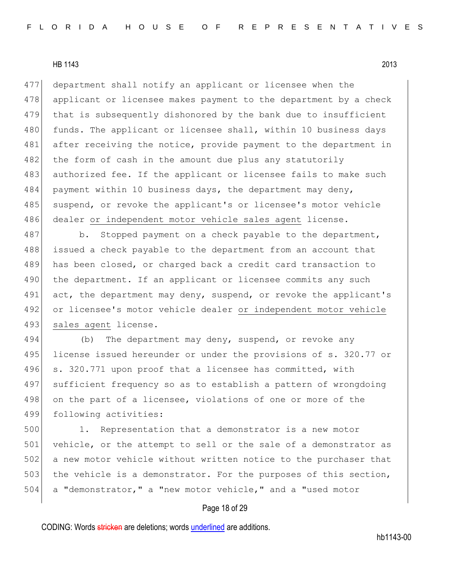477 department shall notify an applicant or licensee when the 478 applicant or licensee makes payment to the department by a check 479 that is subsequently dishonored by the bank due to insufficient 480 funds. The applicant or licensee shall, within 10 business days 481 after receiving the notice, provide payment to the department in 482 the form of cash in the amount due plus any statutorily 483 authorized fee. If the applicant or licensee fails to make such 484 payment within 10 business days, the department may deny, 485 suspend, or revoke the applicant's or licensee's motor vehicle 486 dealer or independent motor vehicle sales agent license.

487 b. Stopped payment on a check payable to the department, 488 issued a check payable to the department from an account that 489 has been closed, or charged back a credit card transaction to 490 the department. If an applicant or licensee commits any such 491 act, the department may deny, suspend, or revoke the applicant's 492 or licensee's motor vehicle dealer or independent motor vehicle 493 sales agent license.

494 (b) The department may deny, suspend, or revoke any 495 license issued hereunder or under the provisions of s. 320.77 or 496 s. 320.771 upon proof that a licensee has committed, with 497 sufficient frequency so as to establish a pattern of wrongdoing 498 on the part of a licensee, violations of one or more of the 499 following activities:

500 1. Representation that a demonstrator is a new motor 501 vehicle, or the attempt to sell or the sale of a demonstrator as 502 a new motor vehicle without written notice to the purchaser that 503 the vehicle is a demonstrator. For the purposes of this section, 504 a "demonstrator," a "new motor vehicle," and a "used motor

# Page 18 of 29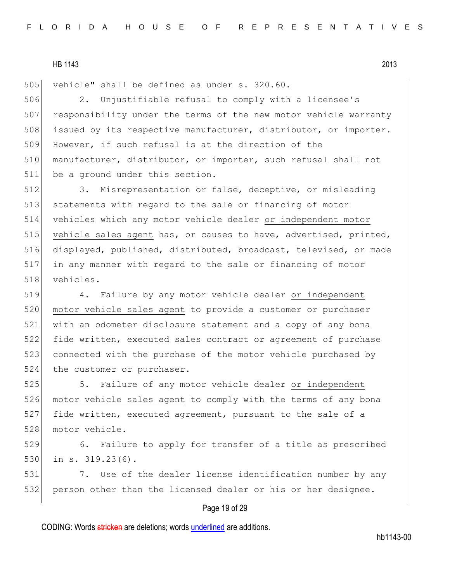505 vehicle" shall be defined as under s. 320.60.

506 2. Unjustifiable refusal to comply with a licensee's 507 responsibility under the terms of the new motor vehicle warranty 508 issued by its respective manufacturer, distributor, or importer. 509 However, if such refusal is at the direction of the 510 manufacturer, distributor, or importer, such refusal shall not 511 be a ground under this section.

512 3. Misrepresentation or false, deceptive, or misleading statements with regard to the sale or financing of motor vehicles which any motor vehicle dealer or independent motor 515 vehicle sales agent has, or causes to have, advertised, printed, displayed, published, distributed, broadcast, televised, or made in any manner with regard to the sale or financing of motor vehicles.

519 4. Failure by any motor vehicle dealer or independent 520 motor vehicle sales agent to provide a customer or purchaser 521 with an odometer disclosure statement and a copy of any bona 522 fide written, executed sales contract or agreement of purchase 523 connected with the purchase of the motor vehicle purchased by 524 the customer or purchaser.

525 5. Failure of any motor vehicle dealer or independent 526 motor vehicle sales agent to comply with the terms of any bona 527 fide written, executed agreement, pursuant to the sale of a 528 motor vehicle.

529 6. Failure to apply for transfer of a title as prescribed 530 in s. 319.23(6).

531 7. Use of the dealer license identification number by any 532 person other than the licensed dealer or his or her designee.

### Page 19 of 29

CODING: Words stricken are deletions; words underlined are additions.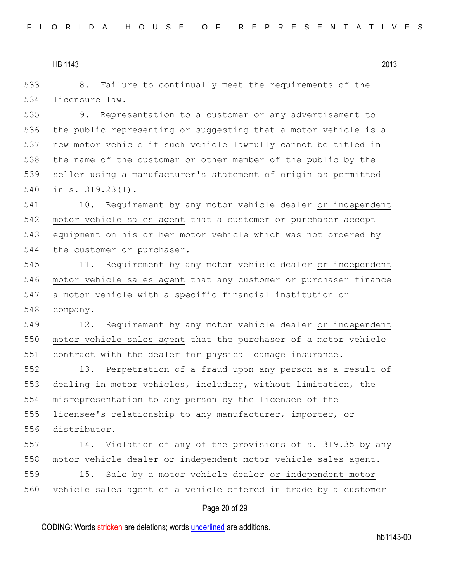533 8. Failure to continually meet the requirements of the 534 licensure law.

 9. Representation to a customer or any advertisement to 536 the public representing or suggesting that a motor vehicle is a new motor vehicle if such vehicle lawfully cannot be titled in 538 the name of the customer or other member of the public by the seller using a manufacturer's statement of origin as permitted in s. 319.23(1).

541 10. Requirement by any motor vehicle dealer or independent 542 motor vehicle sales agent that a customer or purchaser accept 543 equipment on his or her motor vehicle which was not ordered by 544 the customer or purchaser.

545 11. Requirement by any motor vehicle dealer or independent 546 motor vehicle sales agent that any customer or purchaser finance 547 a motor vehicle with a specific financial institution or 548 company.

549 12. Requirement by any motor vehicle dealer or independent 550 motor vehicle sales agent that the purchaser of a motor vehicle 551 contract with the dealer for physical damage insurance.

 13. Perpetration of a fraud upon any person as a result of 553 dealing in motor vehicles, including, without limitation, the misrepresentation to any person by the licensee of the licensee's relationship to any manufacturer, importer, or distributor.

557 14. Violation of any of the provisions of s. 319.35 by any 558 motor vehicle dealer or independent motor vehicle sales agent.

559 15. Sale by a motor vehicle dealer or independent motor 560 vehicle sales agent of a vehicle offered in trade by a customer

## Page 20 of 29

CODING: Words stricken are deletions; words underlined are additions.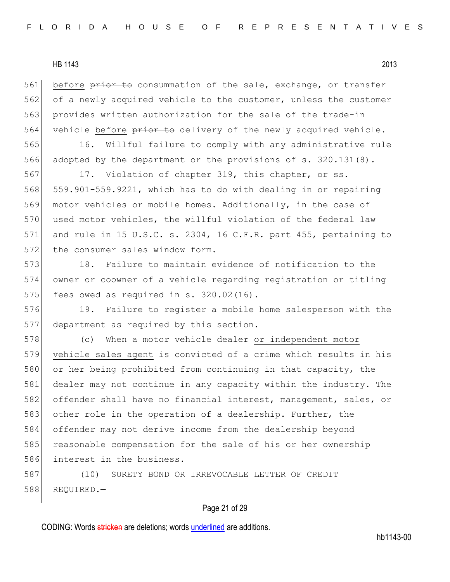561 before prior to consummation of the sale, exchange, or transfer 562 of a newly acquired vehicle to the customer, unless the customer 563 provides written authorization for the sale of the trade-in 564 vehicle before prior to delivery of the newly acquired vehicle.

565 16. Willful failure to comply with any administrative rule 566 adopted by the department or the provisions of s. 320.131(8).

567 17. Violation of chapter 319, this chapter, or ss. 568 559.901-559.9221, which has to do with dealing in or repairing 569 motor vehicles or mobile homes. Additionally, in the case of 570 used motor vehicles, the willful violation of the federal law 571 and rule in 15 U.S.C. s. 2304, 16 C.F.R. part 455, pertaining to 572 the consumer sales window form.

573 18. Failure to maintain evidence of notification to the 574 owner or coowner of a vehicle regarding registration or titling 575 fees owed as required in s.  $320.02(16)$ .

576 19. Failure to register a mobile home salesperson with the 577 department as required by this section.

578 (c) When a motor vehicle dealer or independent motor 579 vehicle sales agent is convicted of a crime which results in his 580 or her being prohibited from continuing in that capacity, the 581 dealer may not continue in any capacity within the industry. The 582 offender shall have no financial interest, management, sales, or 583 other role in the operation of a dealership. Further, the 584 offender may not derive income from the dealership beyond 585 reasonable compensation for the sale of his or her ownership 586 interest in the business.

587 (10) SURETY BOND OR IRREVOCABLE LETTER OF CREDIT 588 REQUIRED.—

# Page 21 of 29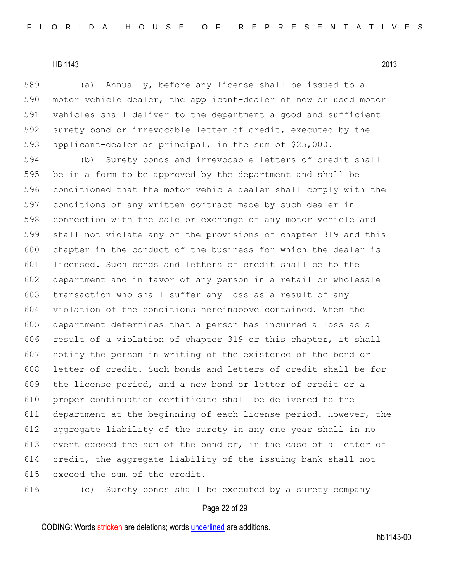589 (a) Annually, before any license shall be issued to a 590 motor vehicle dealer, the applicant-dealer of new or used motor 591 vehicles shall deliver to the department a good and sufficient 592 surety bond or irrevocable letter of credit, executed by the 593 applicant-dealer as principal, in the sum of \$25,000.

 (b) Surety bonds and irrevocable letters of credit shall be in a form to be approved by the department and shall be conditioned that the motor vehicle dealer shall comply with the conditions of any written contract made by such dealer in 598 connection with the sale or exchange of any motor vehicle and shall not violate any of the provisions of chapter 319 and this chapter in the conduct of the business for which the dealer is 601 licensed. Such bonds and letters of credit shall be to the 602 department and in favor of any person in a retail or wholesale 603 transaction who shall suffer any loss as a result of any violation of the conditions hereinabove contained. When the department determines that a person has incurred a loss as a 606 result of a violation of chapter 319 or this chapter, it shall notify the person in writing of the existence of the bond or 608 letter of credit. Such bonds and letters of credit shall be for the license period, and a new bond or letter of credit or a proper continuation certificate shall be delivered to the department at the beginning of each license period. However, the aggregate liability of the surety in any one year shall in no 613 event exceed the sum of the bond or, in the case of a letter of credit, the aggregate liability of the issuing bank shall not 615 exceed the sum of the credit.

616 (c) Surety bonds shall be executed by a surety company

# Page 22 of 29

CODING: Words stricken are deletions; words underlined are additions.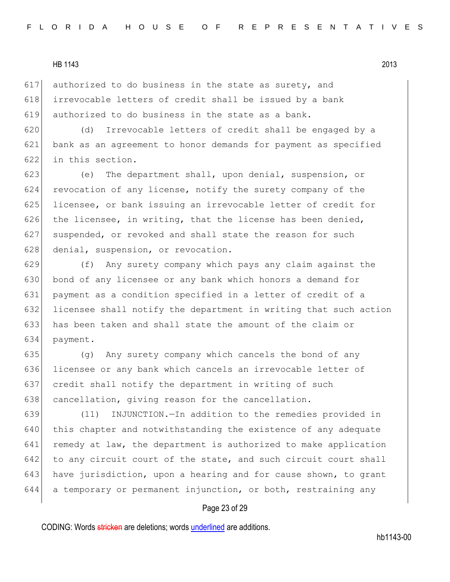617 authorized to do business in the state as surety, and 618 irrevocable letters of credit shall be issued by a bank 619 authorized to do business in the state as a bank.

620 (d) Irrevocable letters of credit shall be engaged by a 621 bank as an agreement to honor demands for payment as specified 622 in this section.

623 (e) The department shall, upon denial, suspension, or 624 revocation of any license, notify the surety company of the 625 licensee, or bank issuing an irrevocable letter of credit for 626 the licensee, in writing, that the license has been denied, 627 suspended, or revoked and shall state the reason for such 628 denial, suspension, or revocation.

 (f) Any surety company which pays any claim against the 630 bond of any licensee or any bank which honors a demand for payment as a condition specified in a letter of credit of a licensee shall notify the department in writing that such action has been taken and shall state the amount of the claim or 634 payment.

635 (g) Any surety company which cancels the bond of any 636 licensee or any bank which cancels an irrevocable letter of 637 credit shall notify the department in writing of such 638 cancellation, giving reason for the cancellation.

639 (11) INJUNCTION.—In addition to the remedies provided in 640 this chapter and notwithstanding the existence of any adequate 641 remedy at law, the department is authorized to make application 642 to any circuit court of the state, and such circuit court shall 643 have jurisdiction, upon a hearing and for cause shown, to grant 644 a temporary or permanent injunction, or both, restraining any

## Page 23 of 29

CODING: Words stricken are deletions; words underlined are additions.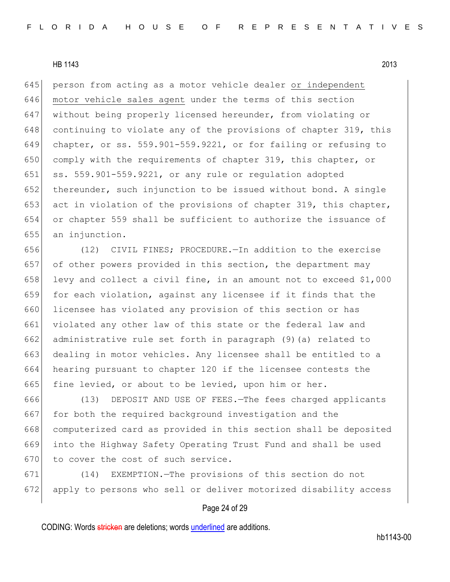645 person from acting as a motor vehicle dealer or independent 646 motor vehicle sales agent under the terms of this section 647 without being properly licensed hereunder, from violating or 648 continuing to violate any of the provisions of chapter 319, this 649 chapter, or ss. 559.901-559.9221, or for failing or refusing to 650 comply with the requirements of chapter 319, this chapter, or 651  $\vert$  ss. 559.901-559.9221, or any rule or regulation adopted 652 thereunder, such injunction to be issued without bond. A single 653 act in violation of the provisions of chapter 319, this chapter, 654 or chapter 559 shall be sufficient to authorize the issuance of 655 an injunction.

656 (12) CIVIL FINES; PROCEDURE.—In addition to the exercise 657 of other powers provided in this section, the department may 658 levy and collect a civil fine, in an amount not to exceed \$1,000 659 for each violation, against any licensee if it finds that the 660 licensee has violated any provision of this section or has 661 violated any other law of this state or the federal law and 662 administrative rule set forth in paragraph (9) (a) related to 663 dealing in motor vehicles. Any licensee shall be entitled to a 664 hearing pursuant to chapter 120 if the licensee contests the 665 fine levied, or about to be levied, upon him or her.

666 (13) DEPOSIT AND USE OF FEES.—The fees charged applicants 667 for both the required background investigation and the 668 computerized card as provided in this section shall be deposited 669 into the Highway Safety Operating Trust Fund and shall be used 670 to cover the cost of such service.

671 (14) EXEMPTION.—The provisions of this section do not 672 apply to persons who sell or deliver motorized disability access

## Page 24 of 29

CODING: Words stricken are deletions; words underlined are additions.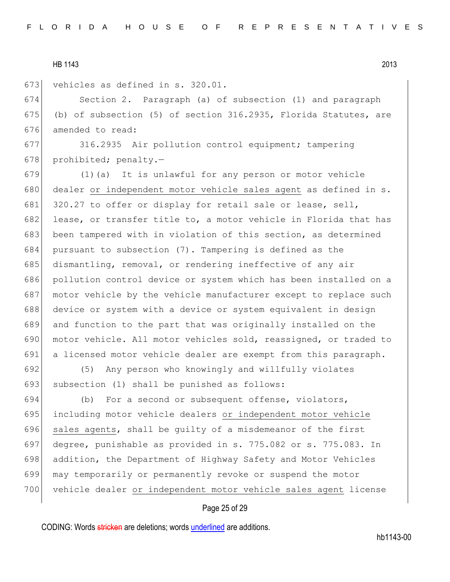673 vehicles as defined in s. 320.01.

674 Section 2. Paragraph (a) of subsection (1) and paragraph 675 (b) of subsection (5) of section  $316.2935$ , Florida Statutes, are 676 amended to read:

677 316.2935 Air pollution control equipment; tampering 678 prohibited; penalty.-

 (1)(a) It is unlawful for any person or motor vehicle 680 dealer or independent motor vehicle sales agent as defined in s. 681 320.27 to offer or display for retail sale or lease, sell, 682 lease, or transfer title to, a motor vehicle in Florida that has been tampered with in violation of this section, as determined pursuant to subsection (7). Tampering is defined as the 685 dismantling, removal, or rendering ineffective of any air pollution control device or system which has been installed on a motor vehicle by the vehicle manufacturer except to replace such device or system with a device or system equivalent in design and function to the part that was originally installed on the 690 motor vehicle. All motor vehicles sold, reassigned, or traded to a licensed motor vehicle dealer are exempt from this paragraph.

692 (5) Any person who knowingly and willfully violates 693 subsection (1) shall be punished as follows:

694 (b) For a second or subsequent offense, violators, 695 including motor vehicle dealers or independent motor vehicle 696 sales agents, shall be quilty of a misdemeanor of the first 697 degree, punishable as provided in s. 775.082 or s. 775.083. In 698 addition, the Department of Highway Safety and Motor Vehicles 699 may temporarily or permanently revoke or suspend the motor 700 vehicle dealer or independent motor vehicle sales agent license

## Page 25 of 29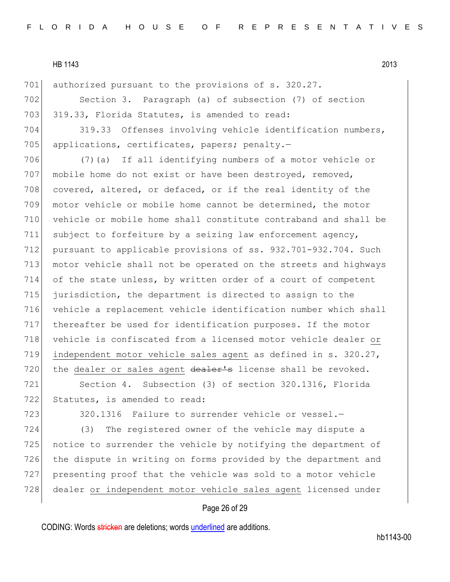701 authorized pursuant to the provisions of s. 320.27.

702 Section 3. Paragraph (a) of subsection (7) of section 703 319.33, Florida Statutes, is amended to read:

704 319.33 Offenses involving vehicle identification numbers, 705 applications, certificates, papers; penalty.-

 (7)(a) If all identifying numbers of a motor vehicle or 707 mobile home do not exist or have been destroyed, removed, 708 covered, altered, or defaced, or if the real identity of the motor vehicle or mobile home cannot be determined, the motor vehicle or mobile home shall constitute contraband and shall be subject to forfeiture by a seizing law enforcement agency, pursuant to applicable provisions of ss. 932.701-932.704. Such motor vehicle shall not be operated on the streets and highways 714 of the state unless, by written order of a court of competent jurisdiction, the department is directed to assign to the vehicle a replacement vehicle identification number which shall thereafter be used for identification purposes. If the motor 718 vehicle is confiscated from a licensed motor vehicle dealer or independent motor vehicle sales agent as defined in s. 320.27, 720 the dealer or sales agent  $de{a}$  aler's license shall be revoked.

721 Section 4. Subsection (3) of section 320.1316, Florida 722 Statutes, is amended to read:

723 320.1316 Failure to surrender vehicle or vessel.

 (3) The registered owner of the vehicle may dispute a 725 notice to surrender the vehicle by notifying the department of the dispute in writing on forms provided by the department and presenting proof that the vehicle was sold to a motor vehicle dealer or independent motor vehicle sales agent licensed under

### Page 26 of 29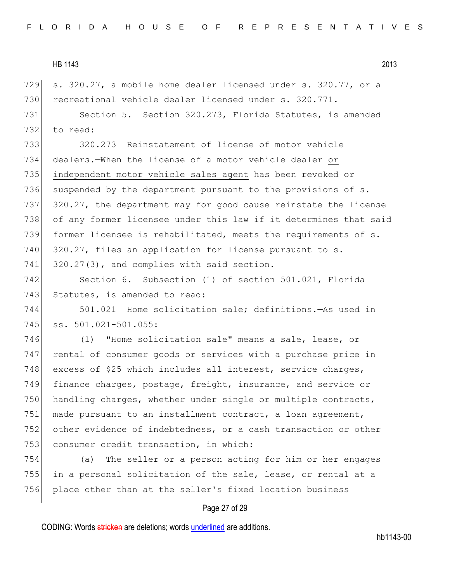729 s. 320.27, a mobile home dealer licensed under s. 320.77, or a 730 recreational vehicle dealer licensed under s. 320.771.

731 Section 5. Section 320.273, Florida Statutes, is amended 732 to read:

 320.273 Reinstatement of license of motor vehicle dealers.—When the license of a motor vehicle dealer or independent motor vehicle sales agent has been revoked or 736 suspended by the department pursuant to the provisions of  $s$ . 737 320.27, the department may for good cause reinstate the license of any former licensee under this law if it determines that said former licensee is rehabilitated, meets the requirements of s. 740 320.27, files an application for license pursuant to s.  $320.27(3)$ , and complies with said section.

742 Section 6. Subsection (1) of section 501.021, Florida 743 Statutes, is amended to read:

744 501.021 Home solicitation sale; definitions.—As used in 745 ss. 501.021-501.055:

746 (1) "Home solicitation sale" means a sale, lease, or 747 rental of consumer goods or services with a purchase price in 748 excess of \$25 which includes all interest, service charges, 749 finance charges, postage, freight, insurance, and service or 750 handling charges, whether under single or multiple contracts, 751 made pursuant to an installment contract, a loan agreement, 752 other evidence of indebtedness, or a cash transaction or other 753 consumer credit transaction, in which:

754 (a) The seller or a person acting for him or her engages 755 in a personal solicitation of the sale, lease, or rental at a 756 place other than at the seller's fixed location business

# Page 27 of 29

CODING: Words stricken are deletions; words underlined are additions.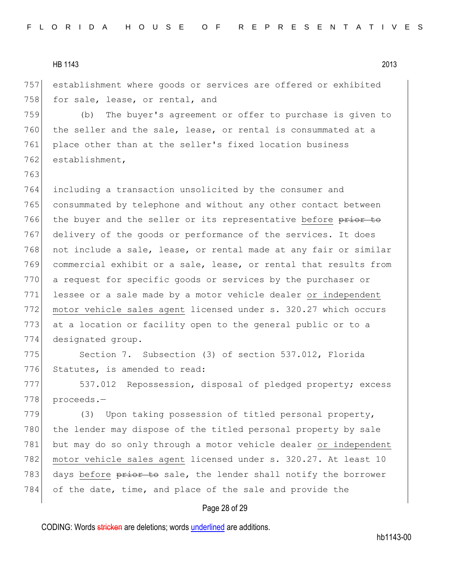763

757 establishment where goods or services are offered or exhibited 758 for sale, lease, or rental, and

759 (b) The buyer's agreement or offer to purchase is given to 760 the seller and the sale, lease, or rental is consummated at a 761 place other than at the seller's fixed location business 762 establishment,

764 including a transaction unsolicited by the consumer and 765 consummated by telephone and without any other contact between 766 the buyer and the seller or its representative before prior to 767 delivery of the goods or performance of the services. It does 768 not include a sale, lease, or rental made at any fair or similar 769 commercial exhibit or a sale, lease, or rental that results from 770 a request for specific goods or services by the purchaser or 771 lessee or a sale made by a motor vehicle dealer or independent 772 motor vehicle sales agent licensed under s. 320.27 which occurs 773 at a location or facility open to the general public or to a 774 designated group.

775 Section 7. Subsection (3) of section 537.012, Florida 776 Statutes, is amended to read:

777 537.012 Repossession, disposal of pledged property; excess 778 proceeds.-

779 (3) Upon taking possession of titled personal property, 780 the lender may dispose of the titled personal property by sale 781 but may do so only through a motor vehicle dealer or independent 782 motor vehicle sales agent licensed under s. 320.27. At least 10 783 days before prior to sale, the lender shall notify the borrower 784 of the date, time, and place of the sale and provide the

## Page 28 of 29